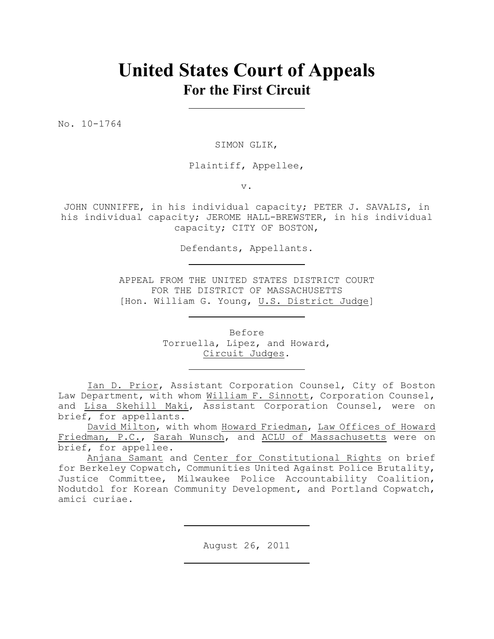# **United States Court of Appeals For the First Circuit**

No. 10-1764

SIMON GLIK,

Plaintiff, Appellee,

v.

JOHN CUNNIFFE, in his individual capacity; PETER J. SAVALIS, in his individual capacity; JEROME HALL-BREWSTER, in his individual capacity; CITY OF BOSTON,

Defendants, Appellants.

APPEAL FROM THE UNITED STATES DISTRICT COURT FOR THE DISTRICT OF MASSACHUSETTS [Hon. William G. Young, U.S. District Judge]

> Before Torruella, Lipez, and Howard, Circuit Judges.

Ian D. Prior, Assistant Corporation Counsel, City of Boston Law Department, with whom William F. Sinnott, Corporation Counsel, and Lisa Skehill Maki, Assistant Corporation Counsel, were on brief, for appellants.

David Milton, with whom Howard Friedman, Law Offices of Howard Friedman, P.C., Sarah Wunsch, and ACLU of Massachusetts were on brief, for appellee.

Anjana Samant and Center for Constitutional Rights on brief for Berkeley Copwatch, Communities United Against Police Brutality, Justice Committee, Milwaukee Police Accountability Coalition, Nodutdol for Korean Community Development, and Portland Copwatch, amici curiae.

August 26, 2011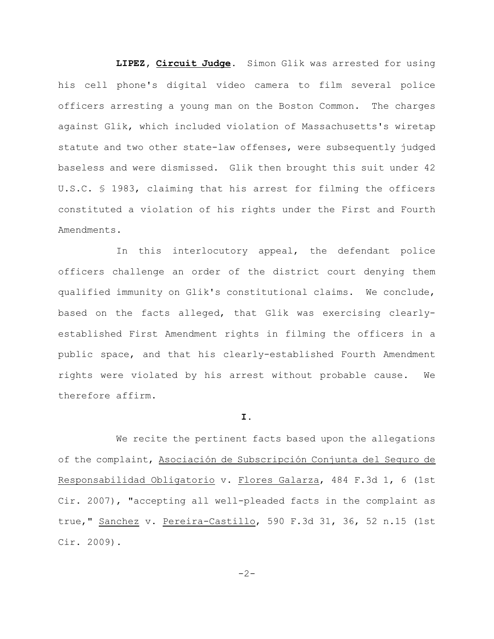**LIPEZ, Circuit Judge**. Simon Glik was arrested for using his cell phone's digital video camera to film several police officers arresting a young man on the Boston Common. The charges against Glik, which included violation of Massachusetts's wiretap statute and two other state-law offenses, were subsequently judged baseless and were dismissed. Glik then brought this suit under 42 U.S.C. § 1983, claiming that his arrest for filming the officers constituted a violation of his rights under the First and Fourth Amendments.

In this interlocutory appeal, the defendant police officers challenge an order of the district court denying them qualified immunity on Glik's constitutional claims. We conclude, based on the facts alleged, that Glik was exercising clearlyestablished First Amendment rights in filming the officers in a public space, and that his clearly-established Fourth Amendment rights were violated by his arrest without probable cause. We therefore affirm.

### **I.**

We recite the pertinent facts based upon the allegations of the complaint, Asociación de Subscripción Conjunta del Seguro de Responsabilidad Obligatorio v. Flores Galarza, 484 F.3d 1, 6 (1st Cir. 2007), "accepting all well-pleaded facts in the complaint as true," Sanchez v. Pereira-Castillo, 590 F.3d 31, 36, 52 n.15 (1st Cir. 2009).

$$
-2\,-
$$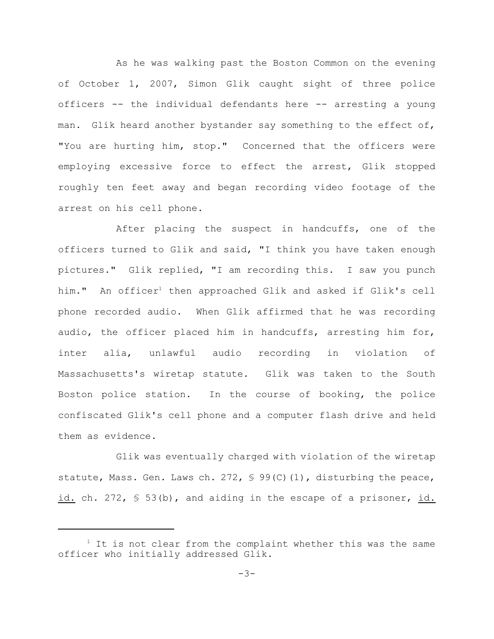As he was walking past the Boston Common on the evening of October 1, 2007, Simon Glik caught sight of three police officers -- the individual defendants here -- arresting a young man. Glik heard another bystander say something to the effect of, "You are hurting him, stop." Concerned that the officers were employing excessive force to effect the arrest, Glik stopped roughly ten feet away and began recording video footage of the arrest on his cell phone.

After placing the suspect in handcuffs, one of the officers turned to Glik and said, "I think you have taken enough pictures." Glik replied, "I am recording this. I saw you punch him." An officer<sup>1</sup> then approached Glik and asked if Glik's cell phone recorded audio. When Glik affirmed that he was recording audio, the officer placed him in handcuffs, arresting him for, inter alia, unlawful audio recording in violation of Massachusetts's wiretap statute. Glik was taken to the South Boston police station. In the course of booking, the police confiscated Glik's cell phone and a computer flash drive and held them as evidence.

Glik was eventually charged with violation of the wiretap statute, Mass. Gen. Laws ch. 272,  $\frac{6}{5}$  99(C)(1), disturbing the peace, id. ch. 272, § 53(b), and aiding in the escape of a prisoner, id.

 $1$  It is not clear from the complaint whether this was the same officer who initially addressed Glik.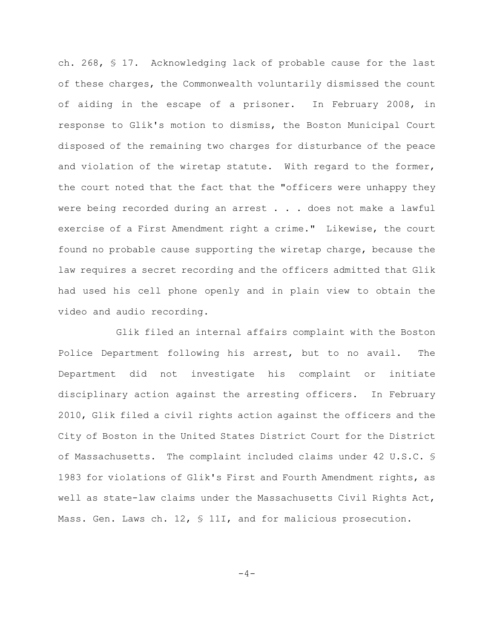ch. 268, § 17. Acknowledging lack of probable cause for the last of these charges, the Commonwealth voluntarily dismissed the count of aiding in the escape of a prisoner. In February 2008, in response to Glik's motion to dismiss, the Boston Municipal Court disposed of the remaining two charges for disturbance of the peace and violation of the wiretap statute. With regard to the former, the court noted that the fact that the "officers were unhappy they were being recorded during an arrest . . . does not make a lawful exercise of a First Amendment right a crime." Likewise, the court found no probable cause supporting the wiretap charge, because the law requires a secret recording and the officers admitted that Glik had used his cell phone openly and in plain view to obtain the video and audio recording.

Glik filed an internal affairs complaint with the Boston Police Department following his arrest, but to no avail. The Department did not investigate his complaint or initiate disciplinary action against the arresting officers. In February 2010, Glik filed a civil rights action against the officers and the City of Boston in the United States District Court for the District of Massachusetts. The complaint included claims under 42 U.S.C. § 1983 for violations of Glik's First and Fourth Amendment rights, as well as state-law claims under the Massachusetts Civil Rights Act, Mass. Gen. Laws ch. 12, § 11I, and for malicious prosecution.

$$
-4\,-
$$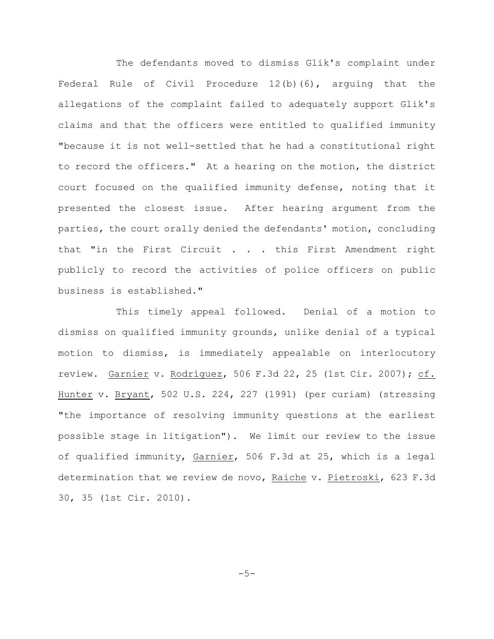The defendants moved to dismiss Glik's complaint under Federal Rule of Civil Procedure 12(b)(6), arguing that the allegations of the complaint failed to adequately support Glik's claims and that the officers were entitled to qualified immunity "because it is not well-settled that he had a constitutional right to record the officers." At a hearing on the motion, the district court focused on the qualified immunity defense, noting that it presented the closest issue. After hearing argument from the parties, the court orally denied the defendants' motion, concluding that "in the First Circuit . . . this First Amendment right publicly to record the activities of police officers on public business is established."

This timely appeal followed. Denial of a motion to dismiss on qualified immunity grounds, unlike denial of a typical motion to dismiss, is immediately appealable on interlocutory review. Garnier v. Rodríguez, 506 F.3d 22, 25 (1st Cir. 2007); cf. Hunter v. Bryant, 502 U.S. 224, 227 (1991) (per curiam) (stressing "the importance of resolving immunity questions at the earliest possible stage in litigation"). We limit our review to the issue of qualified immunity, Garnier, 506 F.3d at 25, which is a legal determination that we review de novo, Raiche v. Pietroski, 623 F.3d 30, 35 (1st Cir. 2010).

 $-5-$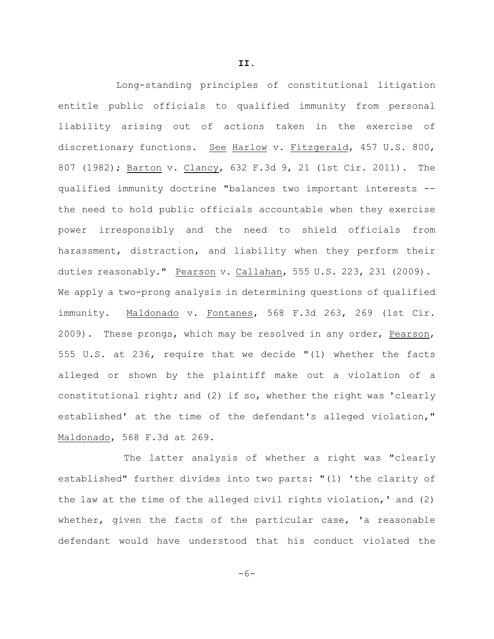Long-standing principles of constitutional litigation entitle public officials to qualified immunity from personal liability arising out of actions taken in the exercise of discretionary functions. See Harlow v. Fitzgerald, 457 U.S. 800, 807 (1982); Barton v. Clancy, 632 F.3d 9, 21 (1st Cir. 2011). The qualified immunity doctrine "balances two important interests - the need to hold public officials accountable when they exercise power irresponsibly and the need to shield officials from harassment, distraction, and liability when they perform their duties reasonably." Pearson v. Callahan, 555 U.S. 223, 231 (2009). We apply a two-prong analysis in determining questions of qualified immunity. Maldonado v. Fontanes, 568 F.3d 263, 269 (1st Cir. 2009). These prongs, which may be resolved in any order, Pearson, 555 U.S. at 236, require that we decide "(1) whether the facts alleged or shown by the plaintiff make out a violation of a constitutional right; and (2) if so, whether the right was 'clearly

established' at the time of the defendant's alleged violation," Maldonado, 568 F.3d at 269.

The latter analysis of whether a right was "clearly established" further divides into two parts: "(1) 'the clarity of the law at the time of the alleged civil rights violation,' and (2) whether, given the facts of the particular case, 'a reasonable defendant would have understood that his conduct violated the

**II.**

 $-6-$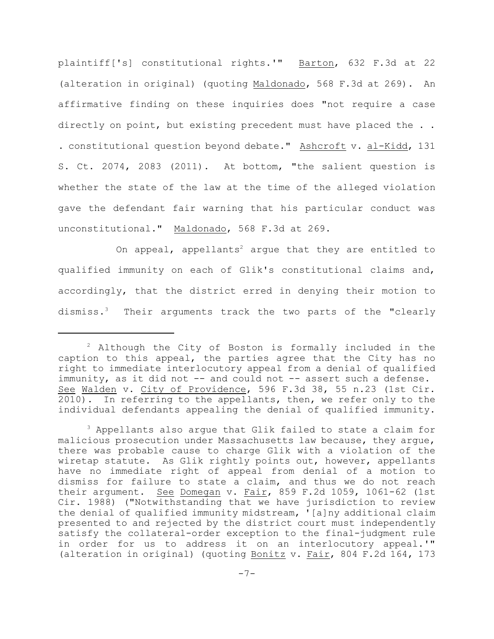plaintiff['s] constitutional rights.'" Barton, 632 F.3d at 22 (alteration in original) (quoting Maldonado, 568 F.3d at 269). An affirmative finding on these inquiries does "not require a case directly on point, but existing precedent must have placed the . . . constitutional question beyond debate." Ashcroft v. al-Kidd, 131 S. Ct. 2074, 2083 (2011). At bottom, "the salient question is whether the state of the law at the time of the alleged violation gave the defendant fair warning that his particular conduct was unconstitutional." Maldonado, 568 F.3d at 269.

On appeal, appellants<sup>2</sup> argue that they are entitled to qualified immunity on each of Glik's constitutional claims and, accordingly, that the district erred in denying their motion to dismiss.<sup>3</sup> Their arguments track the two parts of the "clearly

 $2$  Although the City of Boston is formally included in the caption to this appeal, the parties agree that the City has no right to immediate interlocutory appeal from a denial of qualified immunity, as it did not -- and could not -- assert such a defense. See Walden v. City of Providence, 596 F.3d 38, 55 n.23 (1st Cir. 2010). In referring to the appellants, then, we refer only to the individual defendants appealing the denial of qualified immunity.

<sup>&</sup>lt;sup>3</sup> Appellants also arque that Glik failed to state a claim for malicious prosecution under Massachusetts law because, they argue, there was probable cause to charge Glik with a violation of the wiretap statute. As Glik rightly points out, however, appellants have no immediate right of appeal from denial of a motion to dismiss for failure to state a claim, and thus we do not reach their argument. See Domegan v. Fair, 859 F.2d 1059, 1061-62 (1st Cir. 1988) ("Notwithstanding that we have jurisdiction to review the denial of qualified immunity midstream, '[a]ny additional claim presented to and rejected by the district court must independently satisfy the collateral-order exception to the final-judgment rule in order for us to address it on an interlocutory appeal.'" (alteration in original) (quoting Bonitz v. Fair, 804 F.2d 164, 173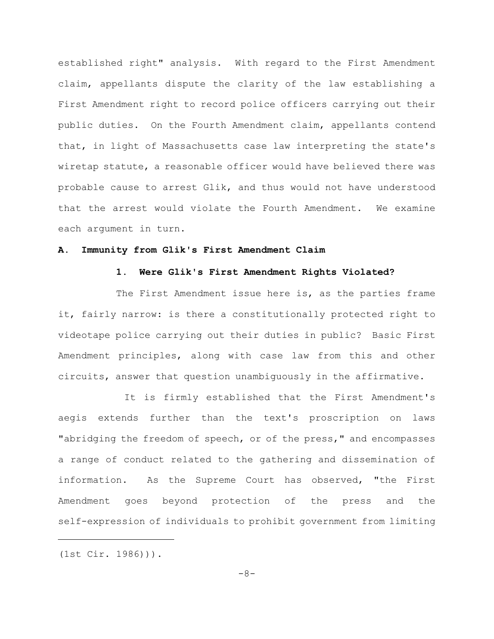established right" analysis. With regard to the First Amendment claim, appellants dispute the clarity of the law establishing a First Amendment right to record police officers carrying out their public duties. On the Fourth Amendment claim, appellants contend that, in light of Massachusetts case law interpreting the state's wiretap statute, a reasonable officer would have believed there was probable cause to arrest Glik, and thus would not have understood that the arrest would violate the Fourth Amendment. We examine each argument in turn.

# **A. Immunity from Glik's First Amendment Claim**

#### **1. Were Glik's First Amendment Rights Violated?**

The First Amendment issue here is, as the parties frame it, fairly narrow: is there a constitutionally protected right to videotape police carrying out their duties in public? Basic First Amendment principles, along with case law from this and other circuits, answer that question unambiguously in the affirmative.

It is firmly established that the First Amendment's aegis extends further than the text's proscription on laws "abridging the freedom of speech, or of the press," and encompasses a range of conduct related to the gathering and dissemination of information. As the Supreme Court has observed, "the First Amendment goes beyond protection of the press and the self-expression of individuals to prohibit government from limiting

(1st Cir. 1986))).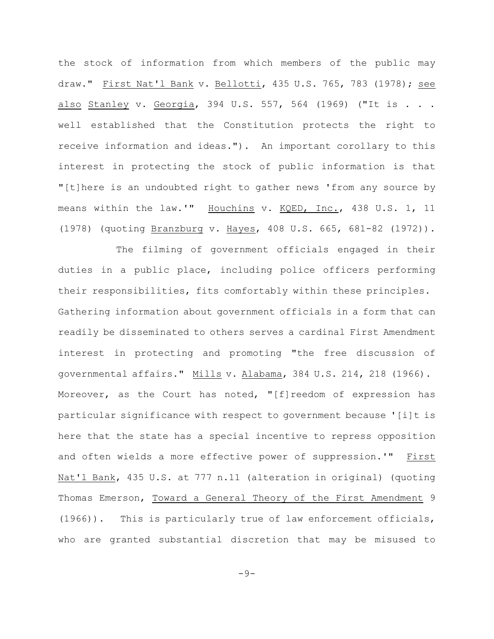the stock of information from which members of the public may draw." First Nat'l Bank v. Bellotti, 435 U.S. 765, 783 (1978); see also Stanley v. Georgia, 394 U.S. 557, 564 (1969) ("It is . . . well established that the Constitution protects the right to receive information and ideas."). An important corollary to this interest in protecting the stock of public information is that "[t]here is an undoubted right to gather news 'from any source by means within the law.'" Houchins v. KQED, Inc., 438 U.S. 1, 11 (1978) (quoting Branzburg v. Hayes, 408 U.S. 665, 681-82 (1972)).

The filming of government officials engaged in their duties in a public place, including police officers performing their responsibilities, fits comfortably within these principles. Gathering information about government officials in a form that can readily be disseminated to others serves a cardinal First Amendment interest in protecting and promoting "the free discussion of governmental affairs." Mills v. Alabama, 384 U.S. 214, 218 (1966). Moreover, as the Court has noted, "[f]reedom of expression has particular significance with respect to government because '[i]t is here that the state has a special incentive to repress opposition and often wields a more effective power of suppression.'" First Nat'l Bank, 435 U.S. at 777 n.11 (alteration in original) (quoting Thomas Emerson, Toward a General Theory of the First Amendment 9 (1966)). This is particularly true of law enforcement officials, who are granted substantial discretion that may be misused to

 $-9-$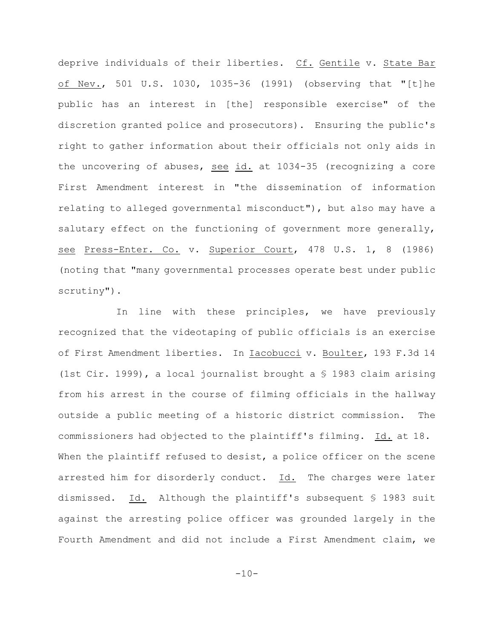deprive individuals of their liberties. Cf. Gentile v. State Bar of Nev., 501 U.S. 1030, 1035-36 (1991) (observing that "[t]he public has an interest in [the] responsible exercise" of the discretion granted police and prosecutors). Ensuring the public's right to gather information about their officials not only aids in the uncovering of abuses, see id. at 1034-35 (recognizing a core First Amendment interest in "the dissemination of information relating to alleged governmental misconduct"), but also may have a salutary effect on the functioning of government more generally, see Press-Enter. Co. v. Superior Court, 478 U.S. 1, 8 (1986) (noting that "many governmental processes operate best under public scrutiny").

In line with these principles, we have previously recognized that the videotaping of public officials is an exercise of First Amendment liberties. In Iacobucci v. Boulter, 193 F.3d 14 (1st Cir. 1999), a local journalist brought a § 1983 claim arising from his arrest in the course of filming officials in the hallway outside a public meeting of a historic district commission. The commissioners had objected to the plaintiff's filming. Id. at 18. When the plaintiff refused to desist, a police officer on the scene arrested him for disorderly conduct. Id. The charges were later dismissed. Id. Although the plaintiff's subsequent § 1983 suit against the arresting police officer was grounded largely in the Fourth Amendment and did not include a First Amendment claim, we

 $-10-$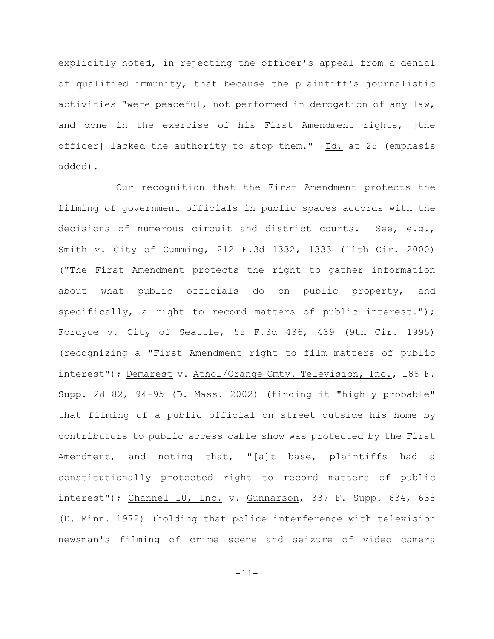explicitly noted, in rejecting the officer's appeal from a denial of qualified immunity, that because the plaintiff's journalistic activities "were peaceful, not performed in derogation of any law, and done in the exercise of his First Amendment rights, [the officer] lacked the authority to stop them." Id. at 25 (emphasis added).

Our recognition that the First Amendment protects the filming of government officials in public spaces accords with the decisions of numerous circuit and district courts. See, e.g., Smith v. City of Cumming, 212 F.3d 1332, 1333 (11th Cir. 2000) ("The First Amendment protects the right to gather information about what public officials do on public property, and specifically, a right to record matters of public interest."); Fordyce v. City of Seattle, 55 F.3d 436, 439 (9th Cir. 1995) (recognizing a "First Amendment right to film matters of public interest"); Demarest v. Athol/Orange Cmty. Television, Inc., 188 F. Supp. 2d 82, 94-95 (D. Mass. 2002) (finding it "highly probable" that filming of a public official on street outside his home by contributors to public access cable show was protected by the First Amendment, and noting that, "[a]t base, plaintiffs had a constitutionally protected right to record matters of public interest"); Channel 10, Inc. v. Gunnarson, 337 F. Supp. 634, 638 (D. Minn. 1972) (holding that police interference with television newsman's filming of crime scene and seizure of video camera

-11-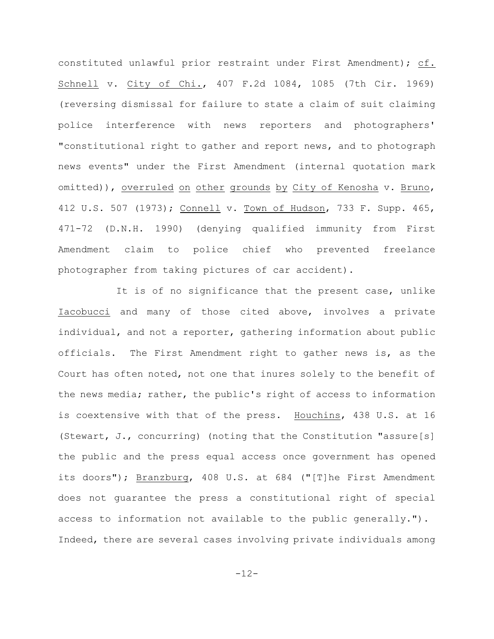constituted unlawful prior restraint under First Amendment); cf. Schnell v. City of Chi., 407 F.2d 1084, 1085 (7th Cir. 1969) (reversing dismissal for failure to state a claim of suit claiming police interference with news reporters and photographers' "constitutional right to gather and report news, and to photograph news events" under the First Amendment (internal quotation mark omitted)), overruled on other grounds by City of Kenosha v. Bruno, 412 U.S. 507 (1973); Connell v. Town of Hudson, 733 F. Supp. 465, 471-72 (D.N.H. 1990) (denying qualified immunity from First Amendment claim to police chief who prevented freelance photographer from taking pictures of car accident).

It is of no significance that the present case, unlike Iacobucci and many of those cited above, involves a private individual, and not a reporter, gathering information about public officials. The First Amendment right to gather news is, as the Court has often noted, not one that inures solely to the benefit of the news media; rather, the public's right of access to information is coextensive with that of the press. Houchins, 438 U.S. at 16 (Stewart, J., concurring) (noting that the Constitution "assure[s] the public and the press equal access once government has opened its doors"); Branzburg, 408 U.S. at 684 ("[T]he First Amendment does not guarantee the press a constitutional right of special access to information not available to the public generally."). Indeed, there are several cases involving private individuals among

-12-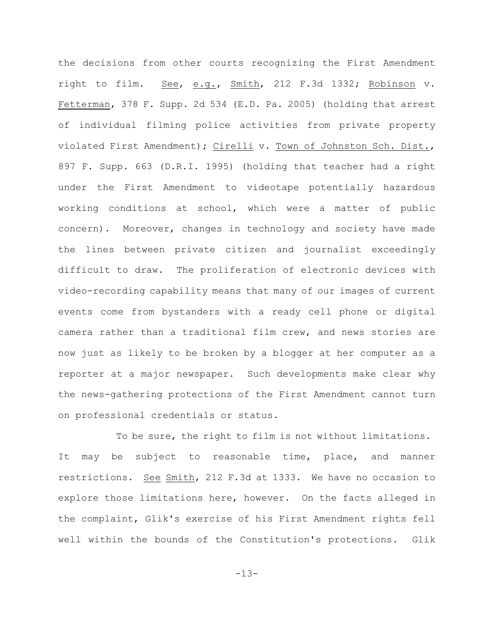the decisions from other courts recognizing the First Amendment right to film. See, e.g., Smith, 212 F.3d 1332; Robinson v. Fetterman, 378 F. Supp. 2d 534 (E.D. Pa. 2005) (holding that arrest of individual filming police activities from private property violated First Amendment); Cirelli v. Town of Johnston Sch. Dist., 897 F. Supp. 663 (D.R.I. 1995) (holding that teacher had a right under the First Amendment to videotape potentially hazardous working conditions at school, which were a matter of public concern). Moreover, changes in technology and society have made the lines between private citizen and journalist exceedingly difficult to draw. The proliferation of electronic devices with video-recording capability means that many of our images of current events come from bystanders with a ready cell phone or digital camera rather than a traditional film crew, and news stories are now just as likely to be broken by a blogger at her computer as a reporter at a major newspaper. Such developments make clear why the news-gathering protections of the First Amendment cannot turn on professional credentials or status.

To be sure, the right to film is not without limitations. It may be subject to reasonable time, place, and manner restrictions. See Smith, 212 F.3d at 1333. We have no occasion to explore those limitations here, however. On the facts alleged in the complaint, Glik's exercise of his First Amendment rights fell well within the bounds of the Constitution's protections. Glik

-13-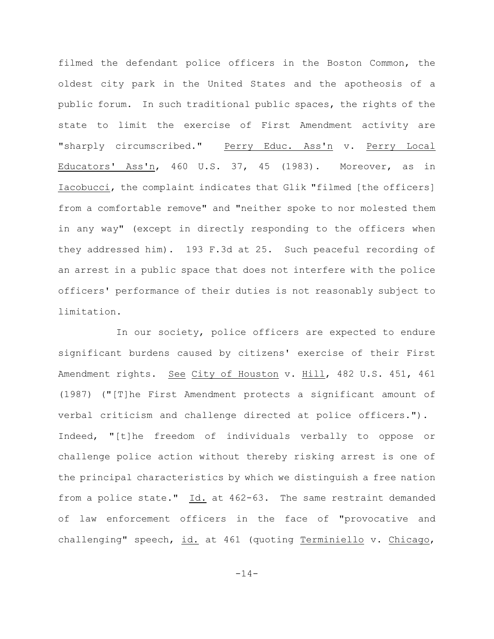filmed the defendant police officers in the Boston Common, the oldest city park in the United States and the apotheosis of a public forum. In such traditional public spaces, the rights of the state to limit the exercise of First Amendment activity are "sharply circumscribed." Perry Educ. Ass'n v. Perry Local Educators' Ass'n, 460 U.S. 37, 45 (1983). Moreover, as in Iacobucci, the complaint indicates that Glik "filmed [the officers] from a comfortable remove" and "neither spoke to nor molested them in any way" (except in directly responding to the officers when they addressed him). 193 F.3d at 25. Such peaceful recording of an arrest in a public space that does not interfere with the police officers' performance of their duties is not reasonably subject to limitation.

In our society, police officers are expected to endure significant burdens caused by citizens' exercise of their First Amendment rights. See City of Houston v. Hill, 482 U.S. 451, 461 (1987) ("[T]he First Amendment protects a significant amount of verbal criticism and challenge directed at police officers."). Indeed, "[t]he freedom of individuals verbally to oppose or challenge police action without thereby risking arrest is one of the principal characteristics by which we distinguish a free nation from a police state." Id. at 462-63. The same restraint demanded of law enforcement officers in the face of "provocative and challenging" speech, id. at 461 (quoting Terminiello v. Chicago,

 $-14-$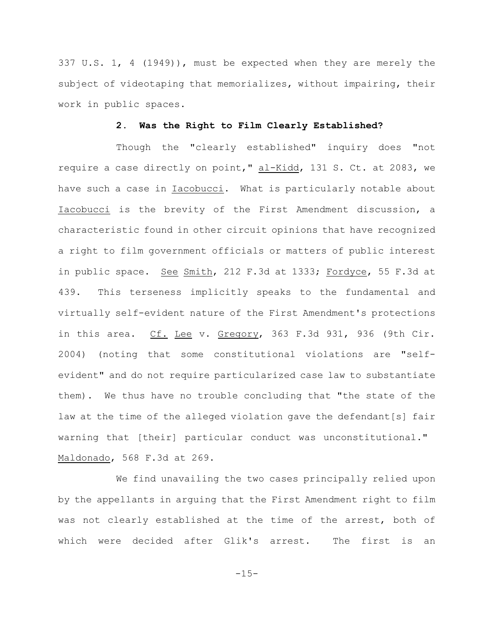337 U.S. 1, 4 (1949)), must be expected when they are merely the subject of videotaping that memorializes, without impairing, their work in public spaces.

# **2. Was the Right to Film Clearly Established?**

Though the "clearly established" inquiry does "not require a case directly on point," al-Kidd, 131 S. Ct. at 2083, we have such a case in Iacobucci. What is particularly notable about Iacobucci is the brevity of the First Amendment discussion, a characteristic found in other circuit opinions that have recognized a right to film government officials or matters of public interest in public space. See Smith, 212 F.3d at 1333; Fordyce, 55 F.3d at 439. This terseness implicitly speaks to the fundamental and virtually self-evident nature of the First Amendment's protections in this area. Cf. Lee v. Gregory, 363 F.3d 931, 936 (9th Cir. 2004) (noting that some constitutional violations are "selfevident" and do not require particularized case law to substantiate them). We thus have no trouble concluding that "the state of the law at the time of the alleged violation gave the defendant[s] fair warning that [their] particular conduct was unconstitutional." Maldonado, 568 F.3d at 269.

We find unavailing the two cases principally relied upon by the appellants in arguing that the First Amendment right to film was not clearly established at the time of the arrest, both of which were decided after Glik's arrest. The first is an

 $-15-$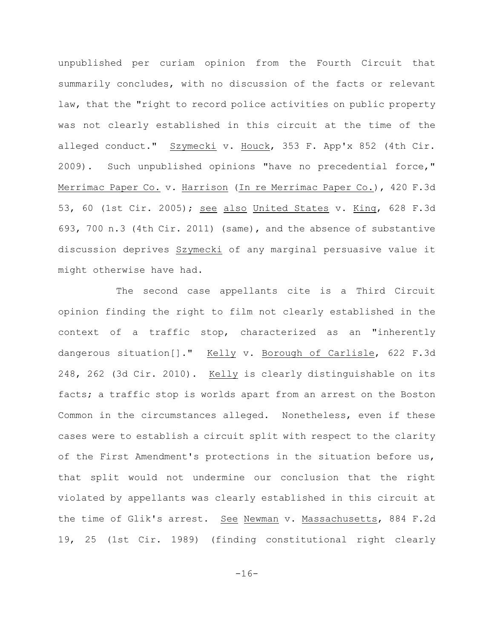unpublished per curiam opinion from the Fourth Circuit that summarily concludes, with no discussion of the facts or relevant law, that the "right to record police activities on public property was not clearly established in this circuit at the time of the alleged conduct." Szymecki v. Houck, 353 F. App'x 852 (4th Cir. 2009). Such unpublished opinions "have no precedential force," Merrimac Paper Co. v. Harrison (In re Merrimac Paper Co.), 420 F.3d 53, 60 (1st Cir. 2005); see also United States v. King, 628 F.3d 693, 700 n.3 (4th Cir. 2011) (same), and the absence of substantive discussion deprives Szymecki of any marginal persuasive value it might otherwise have had.

The second case appellants cite is a Third Circuit opinion finding the right to film not clearly established in the context of a traffic stop, characterized as an "inherently dangerous situation[]." Kelly v. Borough of Carlisle, 622 F.3d 248, 262 (3d Cir. 2010). Kelly is clearly distinguishable on its facts; a traffic stop is worlds apart from an arrest on the Boston Common in the circumstances alleged. Nonetheless, even if these cases were to establish a circuit split with respect to the clarity of the First Amendment's protections in the situation before us, that split would not undermine our conclusion that the right violated by appellants was clearly established in this circuit at the time of Glik's arrest. See Newman v. Massachusetts, 884 F.2d 19, 25 (1st Cir. 1989) (finding constitutional right clearly

-16-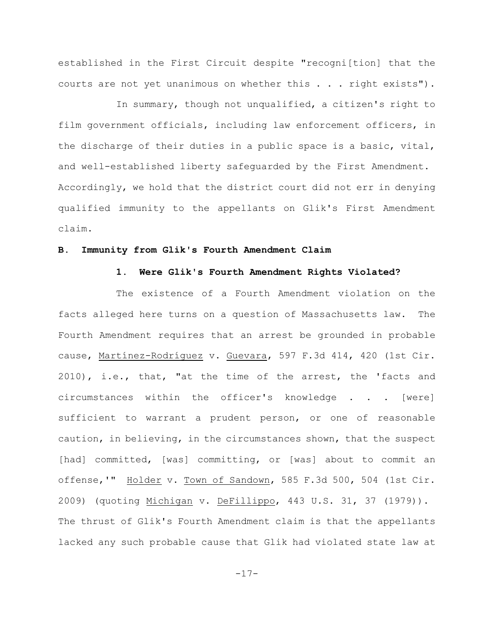established in the First Circuit despite "recogni[tion] that the courts are not yet unanimous on whether this . . . right exists").

In summary, though not unqualified, a citizen's right to film government officials, including law enforcement officers, in the discharge of their duties in a public space is a basic, vital, and well-established liberty safeguarded by the First Amendment. Accordingly, we hold that the district court did not err in denying qualified immunity to the appellants on Glik's First Amendment claim.

## **B. Immunity from Glik's Fourth Amendment Claim**

#### **1. Were Glik's Fourth Amendment Rights Violated?**

The existence of a Fourth Amendment violation on the facts alleged here turns on a question of Massachusetts law. The Fourth Amendment requires that an arrest be grounded in probable cause, Martínez-Rodríguez v. Guevara, 597 F.3d 414, 420 (1st Cir. 2010), i.e., that, "at the time of the arrest, the 'facts and circumstances within the officer's knowledge . . . [were] sufficient to warrant a prudent person, or one of reasonable caution, in believing, in the circumstances shown, that the suspect [had] committed, [was] committing, or [was] about to commit an offense,'" Holder v. Town of Sandown, 585 F.3d 500, 504 (1st Cir. 2009) (quoting Michigan v. DeFillippo, 443 U.S. 31, 37 (1979)). The thrust of Glik's Fourth Amendment claim is that the appellants lacked any such probable cause that Glik had violated state law at

-17-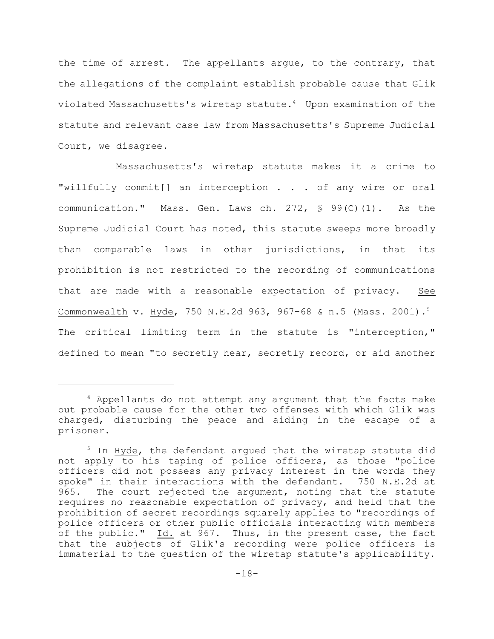the time of arrest. The appellants argue, to the contrary, that the allegations of the complaint establish probable cause that Glik violated Massachusetts's wiretap statute.<sup>4</sup> Upon examination of the statute and relevant case law from Massachusetts's Supreme Judicial Court, we disagree.

Massachusetts's wiretap statute makes it a crime to "willfully commit[] an interception . . . of any wire or oral communication." Mass. Gen. Laws ch. 272,  $\frac{6}{5}$  99(C)(1). As the Supreme Judicial Court has noted, this statute sweeps more broadly than comparable laws in other jurisdictions, in that its prohibition is not restricted to the recording of communications that are made with a reasonable expectation of privacy. See Commonwealth v. Hyde, 750 N.E.2d 963, 967-68 & n.5 (Mass. 2001).<sup>5</sup> The critical limiting term in the statute is "interception," defined to mean "to secretly hear, secretly record, or aid another

 $4$  Appellants do not attempt any argument that the facts make out probable cause for the other two offenses with which Glik was charged, disturbing the peace and aiding in the escape of a prisoner.

 $5$  In Hyde, the defendant argued that the wiretap statute did not apply to his taping of police officers, as those "police officers did not possess any privacy interest in the words they spoke" in their interactions with the defendant. 750 N.E.2d at 965. The court rejected the argument, noting that the statute requires no reasonable expectation of privacy, and held that the prohibition of secret recordings squarely applies to "recordings of police officers or other public officials interacting with members of the public." Id. at 967. Thus, in the present case, the fact that the subjects of Glik's recording were police officers is immaterial to the question of the wiretap statute's applicability.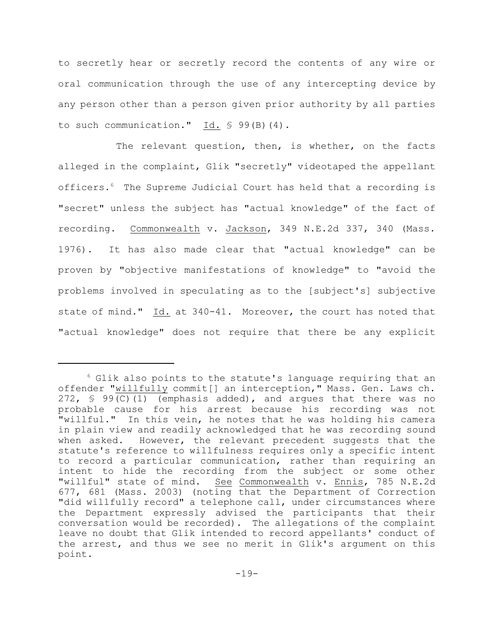to secretly hear or secretly record the contents of any wire or oral communication through the use of any intercepting device by any person other than a person given prior authority by all parties to such communication." Id. § 99(B)(4).

The relevant question, then, is whether, on the facts alleged in the complaint, Glik "secretly" videotaped the appellant officers.<sup>6</sup> The Supreme Judicial Court has held that a recording is "secret" unless the subject has "actual knowledge" of the fact of recording. Commonwealth v. Jackson, 349 N.E.2d 337, 340 (Mass. 1976). It has also made clear that "actual knowledge" can be proven by "objective manifestations of knowledge" to "avoid the problems involved in speculating as to the [subject's] subjective state of mind." Id. at 340-41. Moreover, the court has noted that "actual knowledge" does not require that there be any explicit

 $6$  Glik also points to the statute's language requiring that an offender "willfully commit[] an interception," Mass. Gen. Laws ch. 272,  $\frac{1}{5}$  99(C)(1) (emphasis added), and argues that there was no probable cause for his arrest because his recording was not "willful." In this vein, he notes that he was holding his camera in plain view and readily acknowledged that he was recording sound when asked. However, the relevant precedent suggests that the statute's reference to willfulness requires only a specific intent to record a particular communication, rather than requiring an intent to hide the recording from the subject or some other "willful" state of mind. See Commonwealth v. Ennis, 785 N.E.2d 677, 681 (Mass. 2003) (noting that the Department of Correction "did willfully record" a telephone call, under circumstances where the Department expressly advised the participants that their conversation would be recorded). The allegations of the complaint leave no doubt that Glik intended to record appellants' conduct of the arrest, and thus we see no merit in Glik's argument on this point.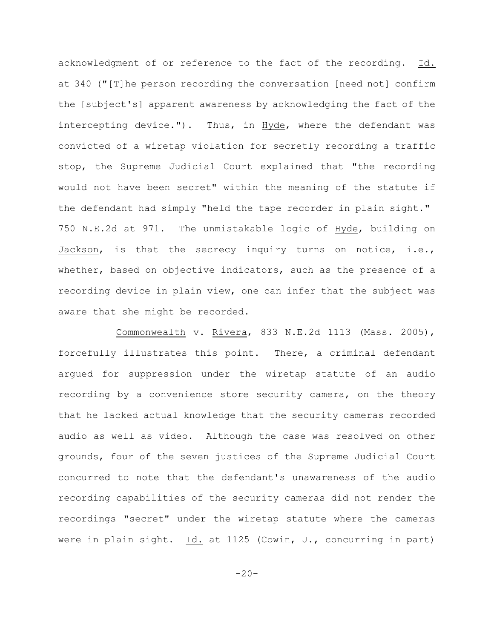acknowledgment of or reference to the fact of the recording. Id. at 340 ("[T]he person recording the conversation [need not] confirm the [subject's] apparent awareness by acknowledging the fact of the intercepting device."). Thus, in Hyde, where the defendant was convicted of a wiretap violation for secretly recording a traffic stop, the Supreme Judicial Court explained that "the recording would not have been secret" within the meaning of the statute if the defendant had simply "held the tape recorder in plain sight." 750 N.E.2d at 971. The unmistakable logic of Hyde, building on Jackson, is that the secrecy inquiry turns on notice, i.e., whether, based on objective indicators, such as the presence of a recording device in plain view, one can infer that the subject was aware that she might be recorded.

Commonwealth v. Rivera, 833 N.E.2d 1113 (Mass. 2005), forcefully illustrates this point. There, a criminal defendant argued for suppression under the wiretap statute of an audio recording by a convenience store security camera, on the theory that he lacked actual knowledge that the security cameras recorded audio as well as video. Although the case was resolved on other grounds, four of the seven justices of the Supreme Judicial Court concurred to note that the defendant's unawareness of the audio recording capabilities of the security cameras did not render the recordings "secret" under the wiretap statute where the cameras were in plain sight. Id. at 1125 (Cowin, J., concurring in part)

 $-20-$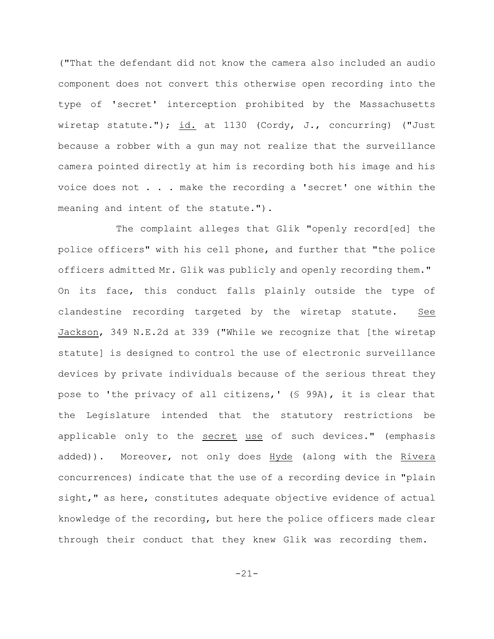("That the defendant did not know the camera also included an audio component does not convert this otherwise open recording into the type of 'secret' interception prohibited by the Massachusetts wiretap statute."); id. at 1130 (Cordy, J., concurring) ("Just because a robber with a gun may not realize that the surveillance camera pointed directly at him is recording both his image and his voice does not . . . make the recording a 'secret' one within the meaning and intent of the statute.").

The complaint alleges that Glik "openly record[ed] the police officers" with his cell phone, and further that "the police officers admitted Mr. Glik was publicly and openly recording them." On its face, this conduct falls plainly outside the type of clandestine recording targeted by the wiretap statute. See Jackson, 349 N.E.2d at 339 ("While we recognize that [the wiretap statute] is designed to control the use of electronic surveillance devices by private individuals because of the serious threat they pose to 'the privacy of all citizens,' (§ 99A), it is clear that the Legislature intended that the statutory restrictions be applicable only to the secret use of such devices." (emphasis added)). Moreover, not only does Hyde (along with the Rivera concurrences) indicate that the use of a recording device in "plain sight," as here, constitutes adequate objective evidence of actual knowledge of the recording, but here the police officers made clear through their conduct that they knew Glik was recording them.

-21-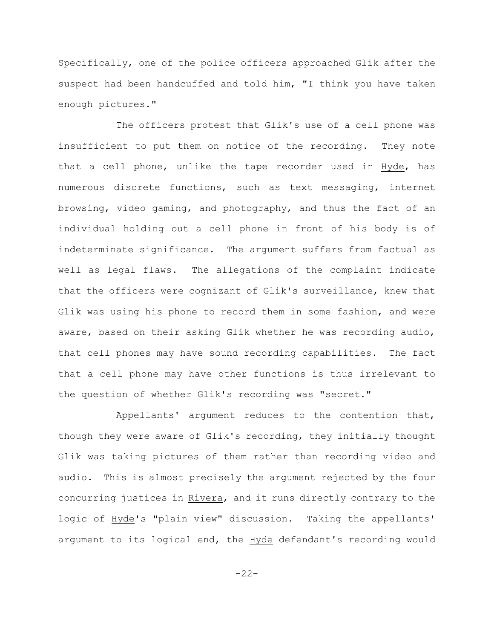Specifically, one of the police officers approached Glik after the suspect had been handcuffed and told him, "I think you have taken enough pictures."

The officers protest that Glik's use of a cell phone was insufficient to put them on notice of the recording. They note that a cell phone, unlike the tape recorder used in Hyde, has numerous discrete functions, such as text messaging, internet browsing, video gaming, and photography, and thus the fact of an individual holding out a cell phone in front of his body is of indeterminate significance. The argument suffers from factual as well as legal flaws. The allegations of the complaint indicate that the officers were cognizant of Glik's surveillance, knew that Glik was using his phone to record them in some fashion, and were aware, based on their asking Glik whether he was recording audio, that cell phones may have sound recording capabilities. The fact that a cell phone may have other functions is thus irrelevant to the question of whether Glik's recording was "secret."

Appellants' argument reduces to the contention that, though they were aware of Glik's recording, they initially thought Glik was taking pictures of them rather than recording video and audio. This is almost precisely the argument rejected by the four concurring justices in Rivera, and it runs directly contrary to the logic of Hyde's "plain view" discussion. Taking the appellants' argument to its logical end, the Hyde defendant's recording would

-22-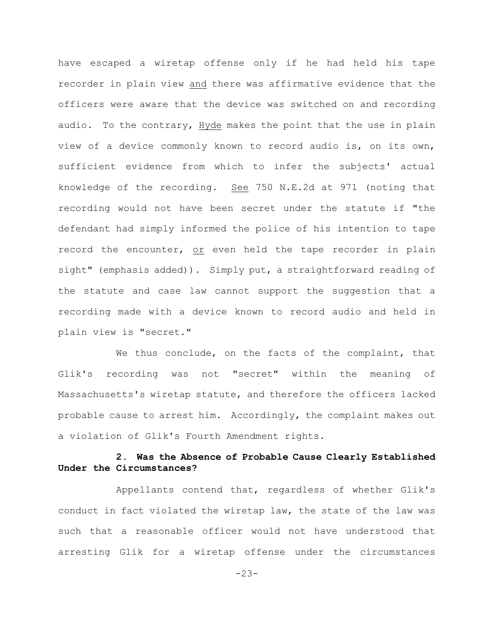have escaped a wiretap offense only if he had held his tape recorder in plain view and there was affirmative evidence that the officers were aware that the device was switched on and recording audio. To the contrary, Hyde makes the point that the use in plain view of a device commonly known to record audio is, on its own, sufficient evidence from which to infer the subjects' actual knowledge of the recording. See 750 N.E.2d at 971 (noting that recording would not have been secret under the statute if "the defendant had simply informed the police of his intention to tape record the encounter, or even held the tape recorder in plain sight" (emphasis added)). Simply put, a straightforward reading of the statute and case law cannot support the suggestion that a recording made with a device known to record audio and held in plain view is "secret."

We thus conclude, on the facts of the complaint, that Glik's recording was not "secret" within the meaning of Massachusetts's wiretap statute, and therefore the officers lacked probable cause to arrest him. Accordingly, the complaint makes out a violation of Glik's Fourth Amendment rights.

# **2. Was the Absence of Probable Cause Clearly Established Under the Circumstances?**

Appellants contend that, regardless of whether Glik's conduct in fact violated the wiretap law, the state of the law was such that a reasonable officer would not have understood that arresting Glik for a wiretap offense under the circumstances

-23-